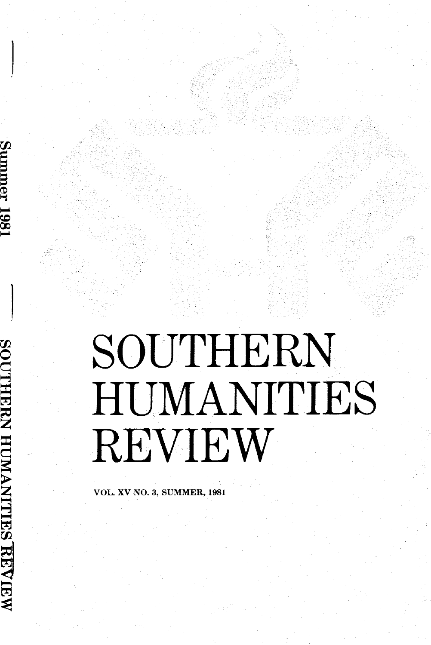# REVIEW SOUTHERN HUMANITIES

vol-. xv No. 3, suMMER, 1981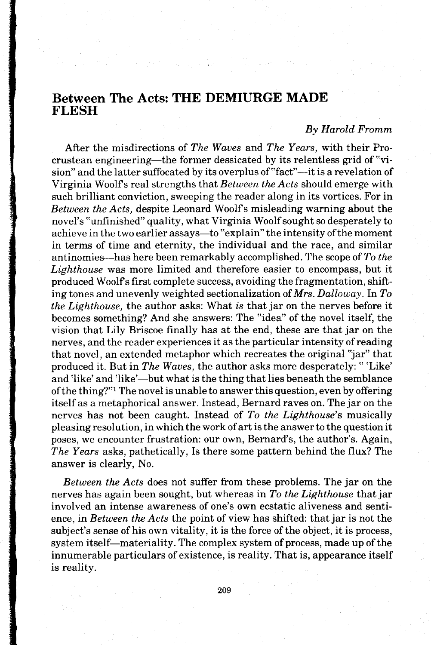# Between The Acts: THE DEMIURGE MADE FLESH

# By Harold Fromm

After the misdirections of The Waves and The Years, with their Procrustean engineering—the former dessicated by its relentless grid of "vision" and the latter suffocated by its overplus of "fact"—it is a revelation of Virginia Woolf's real strengths that *Between the Acts* should emerge with such brilliant conviction, sweeping the reader along in its vortices. For in Between the Acts, despite Leonard Woolfs misleading warning about the novel's "unfinished" quality, what Virginia Woolf sought so desperately to achieve in the two earlier assays—to "explain" the intensity of the moment in terms of time and eternity, the individual and the race, and similar antinomies—has here been remarkably accomplished. The scope of  $To$  the Lighthouse was more limited and therefore easier to encompass, but it produced Woolfs first complete success, avoiding the fragmentation, shifting tones and unevenly weighted sectionalization of  $Mrs$ . Dalloway. In To the Lighthouse, the author asks: What is that jar on the nerves before it becomes something? And she answers: The "idea" of the novel itself, the vision that Lily Briscoe finally has at the end, these are that jar on the nerves, and the reader experiences it as the particular intensity of reading that novel, an extended metaphor which recreates the original "jar" that produced it. But in The Waves, the author asks more desperately: "'Like' and 'like' and 'like'—but what is the thing that lies beneath the semblance of the thing?"l The novel is unable to answer this question, even by offering itself as a metaphorical answer. Instead, Bernard raves on. The jar on the nerves has not been caught. Instead of To the Lighthouse's musically pleasing resolution, in which the work of art is the answer to the question it poses, we encounter frustration: our own, Bernard's, the author's. Again, The Years asks, pathetically, Is there some pattern behind the flux? The answer is clearly, No.

Between the Acts does not suffer from these problems. The jar on the nerves has again been sought, but whereas in To the Lighthouse that jar involved an intense awareness of one's own ecstatic aliveness and sentience, in Between the Acts the point of view has shifted: that jar is not the subject's sense of his own vitality, it is the force of the object, it is process, system itself—materiality. The complex system of process, made up of the innumerable particulars of existence, is reality. That is, appearance itself is reality.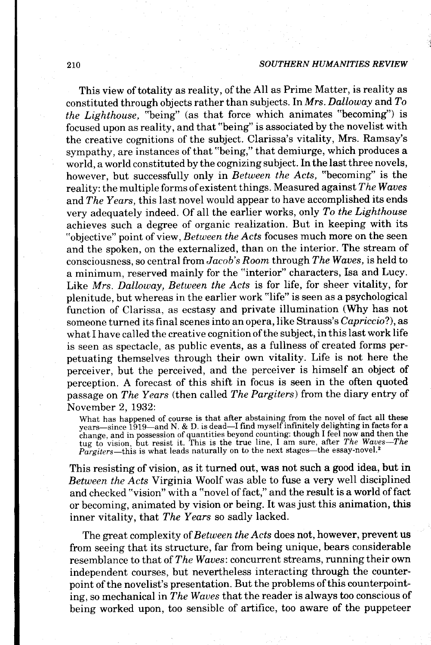This view of totality as reality, of the All as Prime Matter, is reality as constituted through objects rather than subjects. In Mrs. Dalloway and  $To$ the Lighthouse, "being" (as that force which animates "becoming") is focused upon as reality, and that "being" is associated by the novelist with the creative cognitions of the subject. Clarissa's vitality, Mrs. Ramsay's sympathy, are instances of that "being," that demiurge, which produces a world, a world constituted by the cognizing subject. In the last three novels, however, but successfully only in Between the Acts, "becoming" is the reality: the multiple forms of existent things. Measured against The Waves and The Years, this last novel would appear to have accomplished its ends very adequately indeed. Of all the earlier works, only To the Lighthouse achieves such a degree of organic realization. But in keeping with its "objective" point of view, Between the Acts focuses much more on the seen and the spoken, on the externalized, than on the interior. The stream of consciousness, so central from Jacob's Room through The Waves, is held to a minimum, reserved mainly for the "interior" characters, Isa and Lucy. Like Mrs. Dalloway, Between the Acts is for life, for sheer vitality, for plenitude, but whereas in the earlier work "life" is seen as a psychological function of Clarissa, as ecstasy and private illumination (Why has not someone turned its final scenes into an opera, like Strauss's Capriccio?), as what I have called the creative cognition of the subject, in this last work life is seen as spectacle, as public events, as a fullness of created forms perpetuating themselves through their own vitality. Life is not here the perceiver, but the perceived, and the perceiver is himself an object of perception. A forecast of this shift in focus is seen in the often quoted passage on The Years (then called The Pargiters) from the diary entry of November 2, 1932:

What has happened of course is that after abstaining from the novel of fact all these<br>years—since 1919—and N. & D. is dead—I find myself infinitely delighting in facts for a change, and in possession of quantities beyond counting: though I feel now and then the<br>tug to vision, but resist it. This is the true line, I am sure, after *The Waves—The*  $Pargiters$ —this is what leads naturally on to the next stages—the essay-novel.

This resisting of vision, as it turned out, was not such a good idea, but in Between the Acts Virginia Woolf was able to fuse a very well disciplined and checked "vision" with a "novel of fact," and the result is a world of fact or becoming, animated by vision or being. It was just this animation, this inner vitality, that The Years so sadly lacked.

The great complexity of Between the Acts does not, however, prevent us from seeing that its structure, far from being unique, bears considerable resemblance to that of The Waves: concurrent streams, running their own independent courses, but nevertheless interacting through the counterpoint of the novelist's presentation. But the problems of this counterpointing, so mechanical inThe Waues that the reader is always too conscious of being worked upon, too sensible of artifice, too aware of the puppeteer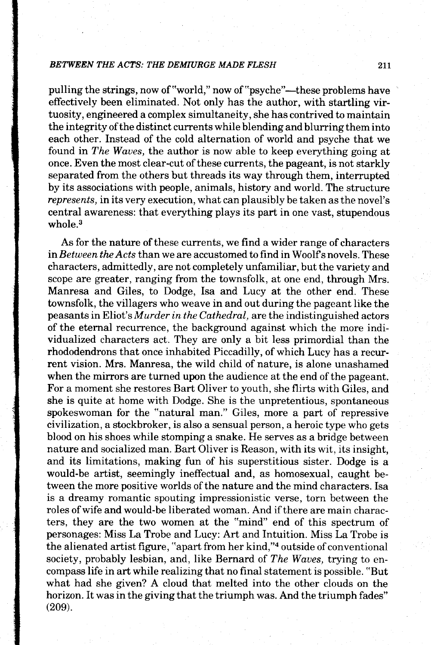pulling the strings, now of "world," now of "psyche"—these problems have effectively been eliminated. Not only has the author, with startling virtuosity, engineered a complex simultaneity, she has contrived to maintain the integrity of the distinct currents while blending and blurring them into each other. Instead of the cold alternation of world and psyche that we found in The Waues, the author is now able to keep everything going at once. Even the most clear-cut of these currents, the pageant, is not starkly separated from the others but threads its way through them, interrupted by its associations with people, animals, history and world. The structure represents, in its very execution, what can plausibly be taken as the novel's central awareness: that everything plays its part in one vast, stupendous whole.<sup>3</sup>

As for the nature of these currents, we find a wider range of characters in Between the Acts than we are accustomed to find in Woolf's novels. These characters, admittedly, are not completely unfamiliar, but the variety and scope are greater, ranging from the townsfolk, at one end, through Mrs. Manresa and Giles, to Dodge, Isa and Lucy at the other end. These townsfolk, the villagers who weave in and out during the pageant like the peasants in Eliot's Murder inthe Cathedral, are the indistinguished actors of the eternal recurrence, the background against which the more individualized characters act. They are only a bit less primordial than the rhododendrons that once inhabited Piccadilly, of which Lucy has a recurrent vision. Mrs. Manresa, the wild child of nature, is alone unashamed when the mirrors are turned upon the audience at the end of the pageant. For a moment she restores Bart Oliver to youth, she flirts with Giles, and she is quite at home with Dodge. She is the unpretentious, spontaneous spokeswoman for the "natural man." Giles, more a part of repressive civilization, a stockbroker, is also a sensual person, a heroic type who gets blood on his shoes while stomping a snake. He serves as a bridge between nature and socialized man. Bart Oliver is Reason, with its wit, its insight, and its limitations, making fun of his superstitious sister. Dodge is a would-be artist, seemingly ineffectual and, as homosexual, caught between the more positive worlds of the nature and the mind characters. Isa is a dreamy romantic spouting impressionistic verse, torn between the roles of wife and would-be liberated woman. And if there are main characters, they are the two women at the "mind" end of this spectrum of personages: Miss La Trobe and Lucy: Art and Intuition. Miss La Trobe is the alienated artist figure, "apart from her kind,"<sup>4</sup> outside of conventional society, probably lesbian, and, like Bernard of The Waves, trying to encompass life in art while realizing that no final statement is possible. "But what had she given? A cloud that melted into the other clouds on the horizon. It was in the giving that the triumph was. And the triumph fades" (209).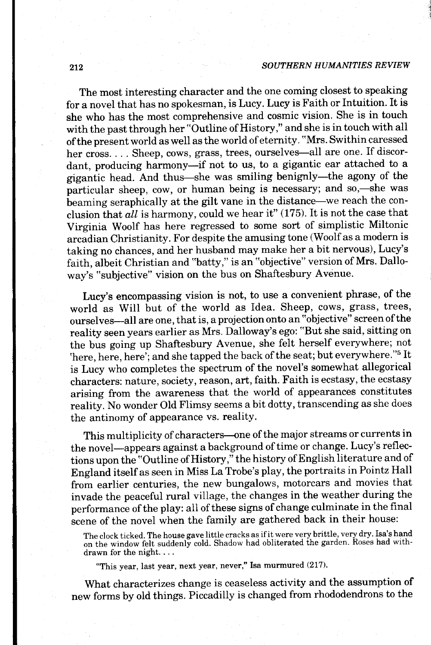#### 212 SOUTHERN HUMANITIES REVIEW

The most interesting character and the one coming closest to speaking for a novel that has no spokesman, is Lucy. Lucy is Faith or Intuition. It is she who has the most comprehensive and cosmic vision. She is in touch with the past through her "Outline of History," and she is in touch with all of the present world as well as the world of eternity. "Mrs. Swithin caressed her cross. . . . Sheep, cows, grass, trees, ourselves-all are one. If discordant, producing harmony--if not to us, to a gigantic ear attached to a gigantic head. And thus-she was smiling benignly-the agony of the particular sheep, cow, or human being is necessary; and so,—she was beaming seraphically at the gilt vane in the distance-we reach the conclusion that  $all$  is harmony, could we hear it" (175). It is not the case that virginia woolf has here regressed to some sort of simplistic Miltonic arcadian Christianity. For despite the amusing tone (Woolf as a modern is taking no chances, and her husband may make her a bit nervous), Lucy's faith, albeit christian and "batty," is an "objective" version of Mrs. Dalloway's "subjective" vision on the bus on Shaftesbury Avenue.

Lucy's encompassing vision is not, to use a convenient phrase, of the world as Will but of the world as Idea. Sheep, cows, grass, trees, ourselves-all are one, that is, a projection onto an "objective" screen of the reality seen years earlier as Mrs. Dalloway's ego: "But she said, sitting on the bus going up shaftesbury Avenue, she felt herself everywhere; not 'here, here, here'; and she tapped the back of the seat; but everywhere."5 It is Lucy who completes the spectrum of the novel's somewhat allegorical characters: nature, society, reason, art, faith. Faith is ecstasy, the ecstasy arising from the awareness that the world of appearances constitutes reality. No wonder Old Flimsy seems a bit dotty, transcending as she does the antinomy of appearance vs. reality.

This multiplicity of characters---one of the major streams or currents in the novel-appears against a background of time or change. Lucy's reflections upon the "outline of History," the history of English literature and of England itself as seen in Miss La Trobe's play, the portraits in Pointz Hall from earlier centuries, the new bungalows, motorcars and movies that invade the peaceful rural village, the changes in the weather during the performance of the play: all of these signs of change culminate in the final scene of the novel when the family are gathered back in their house:

The clock ticked. The house gave little cracks as if it were very brittle, very dry. Isa's hand on the window felt suddenly cold. Shadow had obliterated the garden. Roses had withdrawn for the night. . . .

"This year, last year, next year, never," Isa murmured (217).

What characterizes change is ceaseless activity and the assumption of new forms by old things. Piccadilly is changed from rhododendrons to the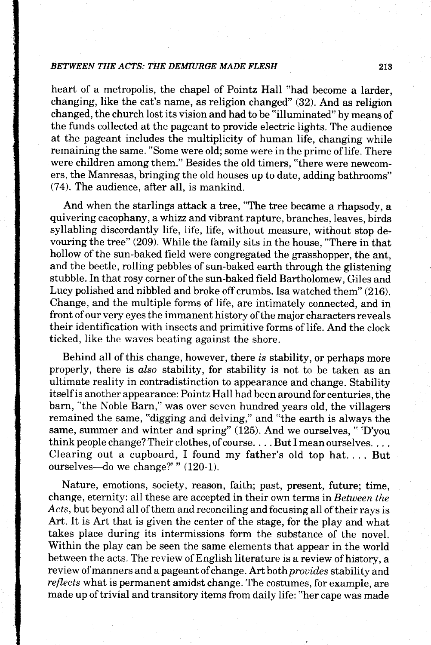heart of a metropolis, the chapel of Pointz Hall "had become a larder, changing, like the cat's name, as religion changed" (32). And as religion changed, the church lost its vision and had to be "illuminated" by means of the funds collected at the pageant to provide electric lights. The audience at the pageant includes the multiplicity of human life, changing while remaining the same. "Some were old; some were in the prime of life. There were children among them." Besides the old timers, "there were newcomers, the Manresas, bringing the old houses up to date, adding bathrooms"  $(74)$ . The audience, after all, is mankind.

And when the starlings attack a tree, "The tree became a rhapsody, a quivering cacophany, awhizz and vibrant rapture, branches, leaves, birds syllabling discordantly life, life, life, without measure, without stop devouring the tree" (209). While the family sits in the house, "There in that hollow of the sun-baked field were congregated the grasshopper, the ant, and the beetle, rolling pebbles of sun-baked earth through the glistening stubble. In that rosy corner of the sun-baked field Bartholomew, Giles and Lucy polished and nibbled and broke off crumbs. Isa watched them" (216). Change, and the multiple forms of life, are intimately connected, and in front of our very eyes the immanent history of the major characters reveals their identification with insects and primitive forms of life. And the clock ticked, like the waves beating against the shore.

Behind all of this change, however, there is stability, or perhaps more properly, there is also stability, for stability is not to be taken as an ultimate reality in contradistinction to appearance and change. Stability itselfis another appearance: Pointz Hall had been around for centuries, the barn, "the Noble Barn," was over seven hundred years old, the villagers remained the same, "digging and delving," and "the earth is always the same, summer and winter and spring" (125). And we ourselves, "'D'you think people change? Their clothes, of course. . . . But I mean ourselves. . . . Clearing out a cupboard, I found my father's old top hat.... But ourselves-do we change?" " (120-1).

Nature, emotions, society, reason, faith; past, present, future; time, change, eternity: all these are accepted in their own terms in Between the Acts, but beyond all of them and reconciling and focusing all of their rays is Art. It is Art that is given the center of the stage, for the play and what takes place during its intermissions form the substance of the novel. Within the play can be seen the same elements that appear in the world between the acts. The review of English literature is a review of history, a review of manners and a pageant of change. Art both *provides* stability and reflects what is permanent amidst change. The costumes, for example, are made up of trivial and transitory items from daily life: "her cape was made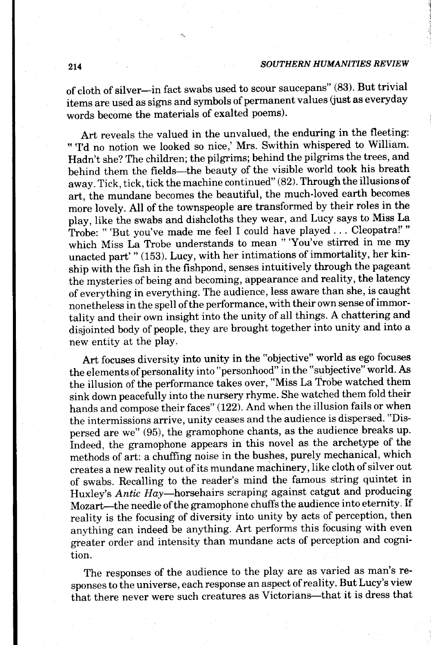#### SOUTHERN HUMANITIES REVIEW

of cloth of silver-in fact swabs used to scour saucepans" (83). But trivial items are used as signs and symbols of permanent values (just as everyday words become the materials of exalted poems).

Art reveals the valued in the unvalued, the enduring in the fleeting: " Td no notion we looked so nice,' Mrs. Swithin whispered to William. Hadn't she? The children; the pilgrims; behind the pilgrims the trees, and behind them the fields-the beauty of the visible world took his breath away. Tick, tick, tick the machine continued" (82). Through the illusions of art, the mundane becomes the beautiful, the much-loved earth becomes more lovely. All of the townspeople are transformed by their roles in the play, like the swabs and dishcloths they wear, and Lucy says to Miss La Trobe: "'But you've made me feel I could have played . . . Cleopatra!'" which Miss La Trobe understands to mean "You've stirred in me my unacted part'" (153). Lucy, with her intimations of immortality, her kinship with the frsh in the fishpond, senses intuitively through the pageant the mysteries of being and becoming, appearance and reality, the latency of everything in everything. The audience,less aware than she, is caught nonetheless in the spell of the performance, with their own sense of immortality and their own insight into the unity of all things. A chattering and disjolnted body of people, they are brought together into unity and into a new entity at the play.

Art focuses diversity into unity in the "objective" world as ego focuses the elements of personality into "personhood" in the "subjective" world. As the illusion of the performance takes over, "Miss La Trobe watched them sink down peacefully into the nursery rhyme. She watched them fold their hands and compose their faces" (122). And when the illusion fails or when the intermissions arrive, unity ceases and the audience is dispersed. "Dispersed are we" (95), the gramophone chants, as the audience breaks up. indeed, the gramophone appears in this novel as the archetype of the methods of art: a chufling noise in the bushes, purely mechanical, which creates a new reality out of its mundane machinery, like cloth of silver out of swabs. Recalling to the reader's mind the famous string quintet in Huxley's Antic Hay-horsehairs scraping against catgut and producing Mozart-the needle of the gramophone chuffs the audience into eternity. If reality is the focusing of diversity into unity by acts of perception, then anything can indeed be anything. Art performs this focusing with even greater order and intensity than mundane acts of perception and cognition.

The responses of the audience to the play are as varied as man's responses to the universe, each response an aspect of reality. But Lucy's view that there never were such creatures as Victorians-that it is dress that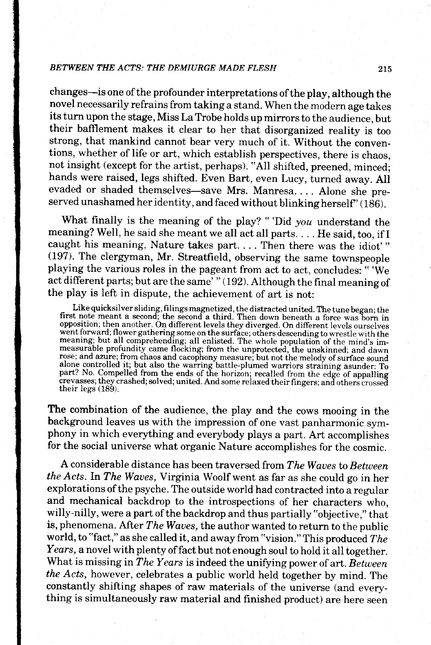changes-is one of the profounder interpretations of the play, although the novel necessarily refrains from taking a stand. when the modern age takes its turn upon the stage, Miss La Trobe holds up mirrors to the audience, but their bafflement makes it clear to her that disorganized reality is too strong, that mankind cannot bear very much of it. without the conventions, whether of life or art, which establish perspectives, there is chaos, not insight (except for the artist, perhaps). "All shifted, preened, minced; hands were raised, legs shifted. Even Bart, even Lucy, turned away. All evaded or shaded themselves-save Mrs. Manresa.... Alone she preserved unashamed her identity, and faced without blinking herself"  $(186)$ .

What finally is the meaning of the play? "'Did you understand the meaning? Well, he said she meant we all act all parts. . . . He said, too, if I caught his meaning, Nature takes part. . . . Then there was the idiot'"  $(197)$ . The clergyman, Mr. Streatfield, observing the same townspeople playing the various roles in the pageant from act to act, concludes: "We act different parts; but are the same' " (192). Although the final meaning of the play is left in dispute, the achievement of art is not:

Like quicksilver sliding, filings magnetized, the distracted united. The tune began; the first note meant a second; the second a third. Then down beneath a force was born in opposition; then another. On different levels th went forward; flower gathering some on the surface; others descending to wrestle with the meaning; but all comprehending; all enlisted. The whole population of the mind's im-<br>measurable profundity came flocking; from the u crevasses; they crashed; solved; united. And some relaxed their fingers; and others crossed their legs  $(189)$ .

The combination of the audience, the play and the cows mooing in the background leaves us with the impression of one vast panharmonic symphony in which everything and everybody plays a part. Art accomplishes for the social universe what organic Nature accomplishes for the cosmic.

A considerable distance has been traversed from The Waves to Between the Acts. In The Waues, Virginia Woolf went as far as she could go in her explorations of the psyche. The outside world had contracted into a regular and mechanical backdrop to the introspections of her characters who, willy-nilly, were a part of the backdrop and thus partially "objective," that is, phenomena. After The Waves, the author wanted to return to the public world, to "fact," as she called it, and away from "vision." This produced  $The$ Years, a novel with plenty of fact but not enough soul to hold it all together. What is missing in The Years is indeed the unifying power of art. Between the Acts, however, celebrates a public world held together by mind. The constantly shifting shapes of raw materials of the universe (and everything is simultaneously raw material and finished product) are here seen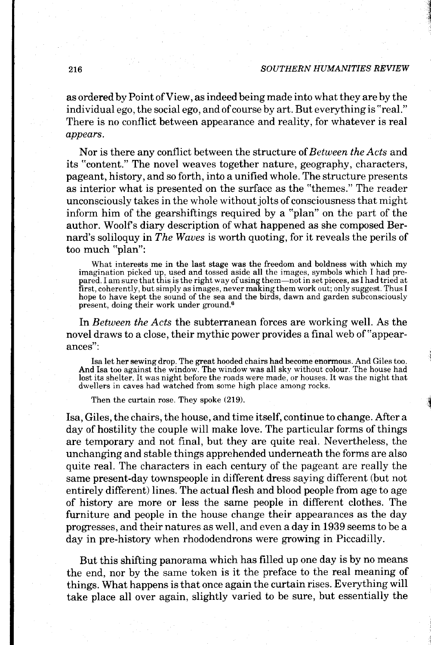#### 216 SOUTHERN HUMANITIES REVIEW

as ordered by Point of View, as indeed being made into what they are by the individual ego, the social ego, and of course by art. But everything is "real." There is no conflict between appearance and reality, for whatever is real appears.

Nor is there any conflict between the structure of Between the Acts and its "content." The novel weaves together nature, geography, characters, pageant, history, and so forth, into a unified whole. The structure presents as interior what is presented on the surface as the "themes." The reader unconsciously takes in the whole without jolts of consciousness that might inform him of the gearshiftings required by a "plan" on the part of the author. Woolfs diary description of what happened as she composed Bernard's soliloquy in The Waves is worth quoting, for it reveals the perils of too much "plan":

What interests me in the last stage was the freedom and boldness with which my imagination picked up, used and tossed aside all the images, symbols which I had prepared. I am sure that this is the right way of using them-not in set pieces, as I had tried at first, coherently, but simply as images, never making them work out; only suggest. Thus I hope to have kept the sound of the sea and the birds, dawn and garden subconsciously present, doing their work under ground.6

In *Between the Acts* the subterranean forces are working well. As the novel draws to a close, their mythic power provides a final web of "appearances":

Isa let her sewing drop. The great hooded chairs had become enormous. And Giles too. And Isa too against the window. The window was all sky without colour. The house had lost its shelter. It was night before the roads were made, or houses. It was the night that dwellers in caves had watched from some high place among rocks.

Then the curtain rose. They spoke (219).

Isa, Giles, the chairs, the house, and time itself, continue to change. After a day of hostility the couple will make love. The particular forms of things are temporary and not final, but they are quite real. Nevertheless, the unchanging and stable things apprehended underneath the forms are also quite real. The characters in each century of the pageant are really the same present-day townspeople in different dress saying different (but not entirely different) lines. The actual flesh and blood people from age to age of history are more or less the same people in different clothes. The furniture and people in the house change their appearances as the day progresses, and their natures as well, and even a day in 1939 seems to be a day in pre-history when rhododendrons were growing in Piccadilly.

But this shifting panorama which has filled up one day is by no means the end, nor by the same token is it the preface to the real meaning of things. What happens is that once again the curtain rises. Everything will take place all over again, slightly varied to be sure, but essentially the